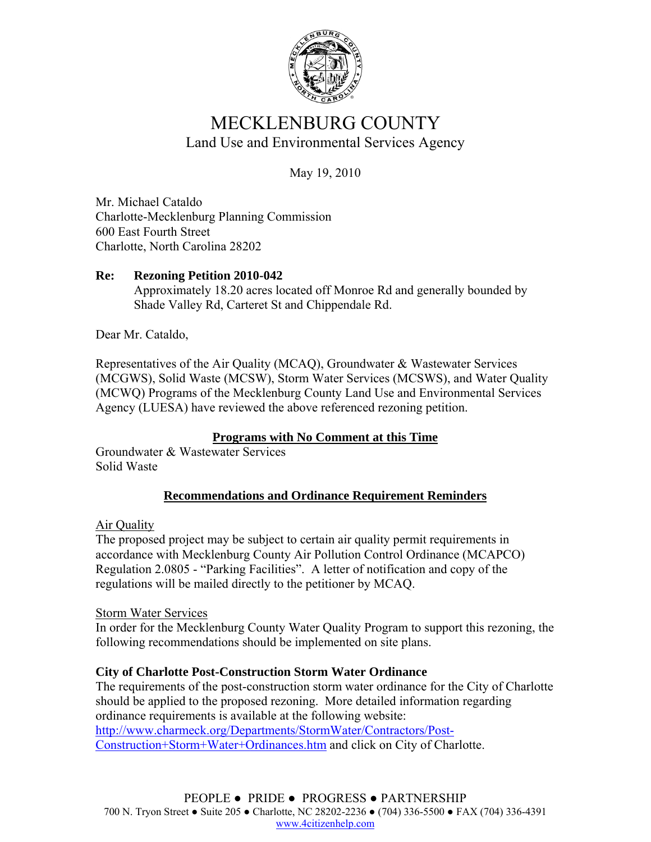

# MECKLENBURG COUNTY Land Use and Environmental Services Agency

May 19, 2010

Mr. Michael Cataldo Charlotte-Mecklenburg Planning Commission 600 East Fourth Street Charlotte, North Carolina 28202

# **Re: Rezoning Petition 2010-042**

Approximately 18.20 acres located off Monroe Rd and generally bounded by Shade Valley Rd, Carteret St and Chippendale Rd.

Dear Mr. Cataldo,

Representatives of the Air Quality (MCAQ), Groundwater & Wastewater Services (MCGWS), Solid Waste (MCSW), Storm Water Services (MCSWS), and Water Quality (MCWQ) Programs of the Mecklenburg County Land Use and Environmental Services Agency (LUESA) have reviewed the above referenced rezoning petition.

## **Programs with No Comment at this Time**

Groundwater & Wastewater Services Solid Waste

# **Recommendations and Ordinance Requirement Reminders**

Air Quality

The proposed project may be subject to certain air quality permit requirements in accordance with Mecklenburg County Air Pollution Control Ordinance (MCAPCO) Regulation 2.0805 - "Parking Facilities". A letter of notification and copy of the regulations will be mailed directly to the petitioner by MCAQ.

## Storm Water Services

In order for the Mecklenburg County Water Quality Program to support this rezoning, the following recommendations should be implemented on site plans.

## **City of Charlotte Post-Construction Storm Water Ordinance**

The requirements of the post-construction storm water ordinance for the City of Charlotte should be applied to the proposed rezoning. More detailed information regarding ordinance requirements is available at the following website: http://www.charmeck.org/Departments/StormWater/Contractors/Post-Construction+Storm+Water+Ordinances.htm and click on City of Charlotte.